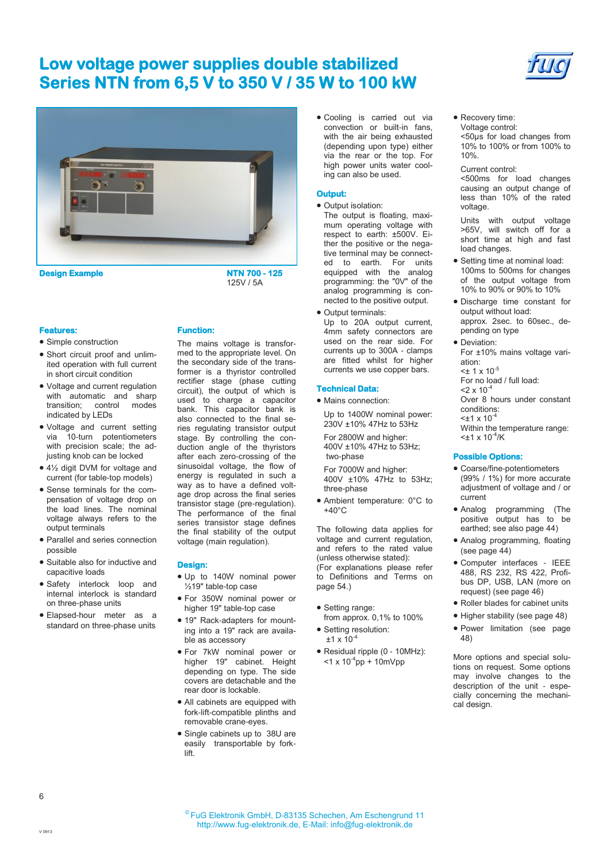

**Design Example** 

**NTN 700 - 125**  125V / 5A

#### **Features:**

- Simple construction
- Short circuit proof and unlimited operation with full current in short circuit condition
- Voltage and current regulation with automatic and sharp transition; control modes indicated by LEDs
- Voltage and current setting via 10-turn potentiometers with precision scale; the adjusting knob can be locked
- 4½ digit DVM for voltage and current (for table-top models)
- Sense terminals for the compensation of voltage drop on the load lines. The nominal voltage always refers to the output terminals
- Parallel and series connection possible
- Suitable also for inductive and capacitive loads
- Safety interlock loop and internal interlock is standard on three-phase units
- Elapsed-hour meter as a standard on three-phase units

### **Function:**

The mains voltage is transformed to the appropriate level. On the secondary side of the transformer is a thyristor controlled rectifier stage (phase cutting circuit), the output of which is used to charge a capacitor bank. This capacitor bank is also connected to the final series regulating transistor output stage. By controlling the conduction angle of the thyristors after each zero-crossing of the sinusoidal voltage, the flow of energy is regulated in such a way as to have a defined voltage drop across the final series transistor stage (pre-regulation). The performance of the final series transistor stage defines the final stability of the output voltage (main regulation).

### **Design:**

- Up to 140W nominal power ½19" table-top case
- For 350W nominal power or higher 19" table-top case
- 19" Rack-adapters for mounting into a 19" rack are available as accessory
- For 7kW nominal power or higher 19" cabinet. Height depending on type. The side covers are detachable and the rear door is lockable.
- All cabinets are equipped with fork-lift-compatible plinths and removable crane-eyes.
- Single cabinets up to 38U are easily transportable by forklift.

 Cooling is carried out via convection or built-in fans, with the air being exhausted (depending upon type) either via the rear or the top. For high power units water cooling can also be used.

### **Output:**

- Output isolation:
- The output is floating, maximum operating voltage with respect to earth: ±500V. Either the positive or the negative terminal may be connected to earth. For units equipped with the analog programming: the "0V" of the analog programming is connected to the positive output.
- **Output terminals:** Up to 20A output current. 4mm safety connectors are used on the rear side. For currents up to 300A - clamps are fitted whilst for higher currents we use copper bars.

### **Technical Data:**

• Mains connection:

Up to 1400W nominal power: 230V ±10% 47Hz to 53Hz For 2800W and higher: 400V ±10% 47Hz to 53Hz;

two-phase For 7000W and higher:

400V ±10% 47Hz to 53Hz; three-phase

 Ambient temperature: 0°C to  $+40^{\circ}$ C

The following data applies for voltage and current regulation, and refers to the rated value (unless otherwise stated): (For explanations please refer to Definitions and Terms on page 54.)

- Setting range:
- from approx. 0,1% to 100% • Setting resolution:
- $±1 \times 10^{-4}$
- Residual ripple (0 10MHz):  $<$ 1 x 10<sup>-4</sup>pp + 10mVpp

 Recovery time: Voltage control:

<50µs for load changes from 10% to 100% or from 100% to 10%.

Current control:

<500ms for load changes causing an output change of less than 10% of the rated voltage.

Units with output voltage >65V, will switch off for a short time at high and fast load changes.

- Setting time at nominal load: 100ms to 500ms for changes of the output voltage from 10% to 90% or 90% to 10%
- Discharge time constant for output without load: approx. 2sec. to 60sec., depending on type
- Deviation: For ±10% mains voltage variation:  $<$ ± 1 x 10<sup>-5</sup> For no load / full load:

 $2 \times 10^{-4}$ Over 8 hours under constant conditions:  $<$ ±1 x 10<sup>-4</sup> Within the temperature range:  $<$ ±1 x 10<sup>-4</sup>/K

#### **Possible Options:**

- Coarse/fine-potentiometers (99% / 1%) for more accurate adjustment of voltage and / or current
- Analog programming (The positive output has to be earthed; see also page 44)
- Analog programming, floating (see page 44)
- Computer interfaces IEEE 488, RS 232, RS 422, Profibus DP, USB, LAN (more on request) (see page 46)
- Roller blades for cabinet units
- Higher stability (see page 48)
- Power limitation (see page 48)

More options and special solutions on request. Some options may involve changes to the description of the unit - especially concerning the mechanical design.

6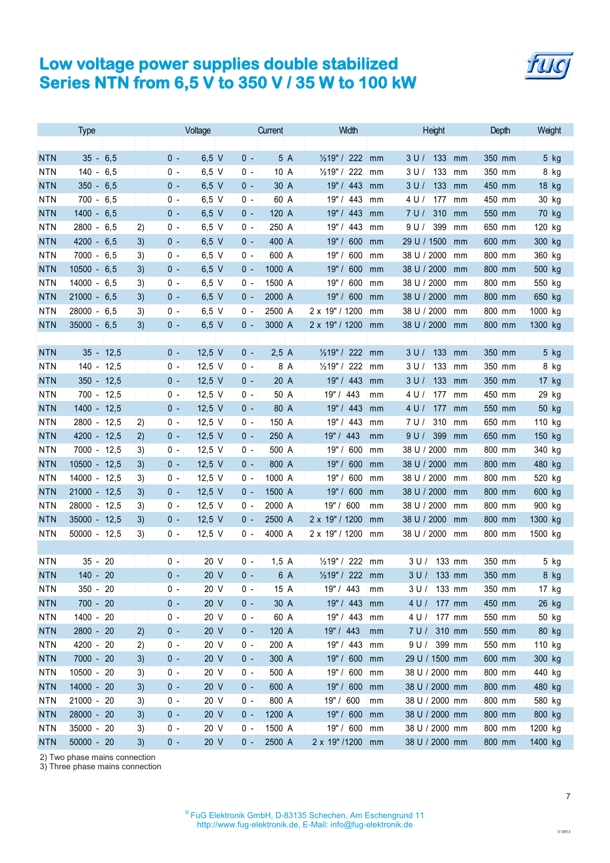

|                          | <b>Type</b>                    |          |            | Voltage                      |                | Current        | Width                            | Height                           | Depth            | Weight           |
|--------------------------|--------------------------------|----------|------------|------------------------------|----------------|----------------|----------------------------------|----------------------------------|------------------|------------------|
|                          |                                |          |            |                              |                |                |                                  |                                  |                  |                  |
| <b>NTN</b>               | 6,5<br>35 -                    |          | $0 -$      | $6,5$ V                      | $0 -$          | 5 A            | $\frac{1}{2}$ 19" / 222<br>mm    | 133<br>3 <sub>U</sub><br>mm      | 350 mm           | 5 kg             |
| <b>NTN</b>               | $140 -$<br>6,5                 |          | 0 -        | 6.5V                         | $0 -$          | 10A            | 222<br>$\frac{1}{2}$ 19" /<br>mm | 133<br>3 U /<br>mm               | 350 mm           | 8 kg             |
| <b>NTN</b>               | $350 - 6,5$                    |          | 0 -        | $6.5$ V                      | 0 -            | 30 A           | 19" / 443<br>mm                  | 3U/<br>133<br>mm                 | 450 mm           | 18 kg            |
| <b>NTN</b>               | $700 - 6,5$                    |          | 0 -        | 6.5V                         | $0 -$          | 60 A           | 19"/<br>443<br>mm                | 4 U /<br>177<br>mm               | 450 mm           | 30 kg            |
| <b>NTN</b>               | $1400 -$<br>6,5                |          | 0 -        | $6.5$ V                      | $0 -$          | 120 A          | 19"/<br>443<br>mm                | 7U/<br>310<br>mm                 | 550 mm           | 70 kg            |
| <b>NTN</b>               | $2800 -$<br>6,5                | 2)       | 0 -        | $6,5$ V                      | $0 -$          | 250 A          | 19"/<br>443<br>mm                | 9U/<br>399<br>mm                 | 650 mm           | 120 kg           |
| <b>NTN</b>               | $4200 -$<br>6,5                | 3)       | 0 -        | $6.5$ V                      | 0 -            | 400 A          | 19"/<br>600<br>mm                | 29 U / 1500<br>mm                | 600 mm           | 300 kg           |
| <b>NTN</b>               | $7000 - 6.5$                   | 3)       | 0 -        | 6.5V                         | 0 -            | 600 A          | 600<br>19"/<br>mm                | 38 U / 2000<br>mm                | 800 mm           | 360 kg           |
| <b>NTN</b>               | $10500 -$<br>6,5               | 3)       | 0 -        | $6.5$ V                      | 0 -            | 1000 A         | 19"/<br>600<br>mm                | 38 U / 2000<br>mm                | 800 mm           | 500 kg           |
| <b>NTN</b>               | $14000 - 6.5$                  | 3)       | 0 -        | $6,5$ V                      | 0 -            | 1500 A         | 600<br>19"/<br>mm                | 38 U / 2000<br>mm                | 800 mm           | 550 kg           |
| <b>NTN</b>               | $21000 -$<br>6,5               | 3)       | 0 -        | $6.5$ V                      | 0 -            | 2000 A         | 19" / 600<br>mm                  | 38 U / 2000<br>mm                | 800 mm           | 650 kg           |
| <b>NTN</b>               | $28000 - 6.5$                  | 3)       | 0 -        | 6.5V                         | 0 -            | 2500 A         | 2 x 19" / 1200<br>mm             | 38 U / 2000<br>mm                | 800 mm           | 1000 kg          |
| <b>NTN</b>               | $35000 - 6.5$                  | 3)       | $0 -$      | $6.5$ V                      | 0 -            | 3000 A         | 2 x 19" / 1200<br>mm             | 38 U / 2000<br>mm                | 800 mm           | 1300 kg          |
|                          |                                |          |            |                              |                |                |                                  |                                  |                  |                  |
| <b>NTN</b>               | $35 - 12,5$                    |          | 0 -        | 12,5 $V$                     | $0 -$          | 2.5A           | 1/219" / 222<br>mm               | 133<br>3 <sub>U</sub><br>mm      | 350 mm           | 5 kg             |
| <b>NTN</b>               | $140 - 12.5$                   |          | 0 -        | $12.5$ V                     | $0 -$          | 8 A            | $\frac{1}{2}$ 19" / 222<br>mm    | 3U/<br>133<br>mm                 | 350 mm           | 8 kg             |
| <b>NTN</b>               | $350 - 12,5$                   |          | 0 -        | $12.5 \text{ V}$             | 0 -            | 20 A           | 19" / 443<br>mm                  | 3 <sub>U</sub><br>133<br>mm      | 350 mm           | $17$ kg          |
| <b>NTN</b>               | $700 - 12.5$                   |          | 0 -        | $12.5$ V                     | 0 -            | 50 A           | 19" / 443<br>mm                  | 4 U /<br>177<br>mm               | 450 mm           | 29 kg            |
| <b>NTN</b>               | $1400 - 12,5$                  |          | 0 -        | $12.5 \text{ V}$             | 0 -            | 80 A           | 19" / 443<br>mm                  | 4 <sub>U</sub><br>177<br>mm      | 550 mm           | 50 kg            |
| <b>NTN</b>               | 2800 - 12,5                    | 2)       | 0 -        | $12.5 \text{ V}$             | $0 -$          | 150 A          | 19" / 443<br>mm                  | 7 U /<br>310<br>mm               | 650 mm           | 110 kg           |
| <b>NTN</b>               | 4200 - 12,5                    | (2)      | 0 -        | 12,5 $V$                     | $0 -$          | 250 A          | 19" / 443<br>mm                  | 9U/<br>399<br>mm                 | 650 mm           | 150 kg           |
| <b>NTN</b><br><b>NTN</b> | $7000 - 12,5$                  | 3)       | 0 -        | $12,5$ V<br>$12.5 \text{ V}$ | $0 -$<br>$0 -$ | 500 A<br>800 A | 19"/<br>600<br>mm<br>600<br>19"/ | 38 U / 2000<br>mm<br>38 U / 2000 | 800 mm<br>800 mm | 340 kg           |
| <b>NTN</b>               | $10500 - 12,5$<br>14000 - 12,5 | 3)<br>3) | 0 -<br>0 - | $12.5$ V                     | 0 -            | 1000 A         | mm<br>19"/<br>600<br>mm          | mm<br>38 U / 2000                | 800 mm           | 480 kg           |
| <b>NTN</b>               | 21000 - 12,5                   | 3)       | 0 -        | 12,5 $V$                     | $0 -$          | 1500 A         | 19"/<br>600<br>mm                | mm<br>38 U / 2000<br>mm          | 800 mm           | 520 kg<br>600 kg |
| <b>NTN</b>               | 28000 - 12,5                   | 3)       | 0 -        | $12,5$ V                     | 0 -            | 2000 A         | 19"/<br>600<br>mm                | 38 U / 2000<br>mm                | 800 mm           | 900 kg           |
| <b>NTN</b>               | $35000 - 12,5$                 | 3)       | 0 -        | 12,5 $V$                     | 0 -            | 2500 A         | 2 x 19" / 1200<br>mm             | 38 U / 2000<br>mm                | 800 mm           | 1300 kg          |
| <b>NTN</b>               | $50000 - 12,5$                 | 3)       | 0 -        | $12,5$ V                     | 0 -            | 4000 A         | 2 x 19" / 1200<br>mm             | 38 U / 2000<br>mm                | 800 mm           | 1500 kg          |
|                          |                                |          |            |                              |                |                |                                  |                                  |                  |                  |
| <b>NTN</b>               | $35 - 20$                      |          | 0 -        | 20 V                         | 0 -            | 1,5A           | 1/219" / 222<br>mm               | 133 mm<br>3 U /                  | 350 mm           | 5 kg             |
| <b>NTN</b>               | 140 - 20                       |          | $0 -$      | 20 V                         | $0 -$          | 6 A            | 1/219" / 222 mm                  | 3 U / 133 mm                     | 350 mm           | 8 kg             |
| <b>NTN</b>               | $350 - 20$                     |          | $0 -$      | 20 V                         | 0 -            | 15 A           | 19" / 443<br>mm                  | 133 mm<br>3 U /                  | 350 mm           | 17 kg            |
| <b>NTN</b>               | 700 - 20                       |          | $0 -$      | 20 V                         | $0 -$          | 30 A           | 19" / 443 mm                     | 4 U / 177 mm                     | 450 mm           | 26 kg            |
| <b>NTN</b>               | 1400 - 20                      |          | $0 -$      | 20 V                         | 0 -            | 60 A           | 19" / 443 mm                     | 4 U / 177 mm                     | 550 mm           | 50 kg            |
| <b>NTN</b>               | 2800 - 20                      | 2)       | $0 -$      | 20 V                         | $0 -$          | 120 A          | 19" / 443<br>mm                  | 310 mm<br>7 U /                  | 550 mm           | 80 kg            |
| <b>NTN</b>               | 4200 - 20                      | 2)       | $0 -$      | 20 V                         | 0 -            | 200 A          | 19" / 443<br>mm                  | 399 mm<br>9 U /                  | 550 mm           | 110 kg           |
| <b>NTN</b>               | 7000 - 20                      | 3)       | $0 -$      | 20 V                         | $0 -$          | 300 A          | 19" / 600<br>mm                  | 29 U / 1500 mm                   | 600 mm           | 300 kg           |
| <b>NTN</b>               | 10500 - 20                     | 3)       | $0 -$      | 20 V                         | 0 -            | 500 A          | 19" / 600 mm                     | 38 U / 2000 mm                   | 800 mm           | 440 kg           |
| <b>NTN</b>               | 14000 - 20                     | 3)       | $0 -$      | 20 V                         | $0 -$          | 600 A          | 19" / 600 mm                     | 38 U / 2000 mm                   | 800 mm           | 480 kg           |
| <b>NTN</b>               | 21000 - 20                     | 3)       | $0 -$      | 20 V                         | $0 -$          | 800 A          | 19" / 600<br>mm                  | 38 U / 2000 mm                   | 800 mm           | 580 kg           |
| <b>NTN</b>               | 28000 - 20                     | 3)       | $0 -$      | 20 V                         | $0 -$          | 1200 A         | 19" / 600<br>mm                  | 38 U / 2000 mm                   | 800 mm           | 800 kg           |
| <b>NTN</b>               | 35000 - 20                     | 3)       | $0 -$      | 20 V                         | $0 -$          | 1500 A         | 19" / 600 mm                     | 38 U / 2000 mm                   | 800 mm           | 1200 kg          |
| <b>NTN</b>               | $50000 - 20$                   | 3)       | $0 -$      | 20 V                         | $0 -$          | 2500 A         | 2 x 19"/1200 mm                  | 38 U / 2000 mm                   | 800 mm           | 1400 kg          |
| $\bigcap$ T.             |                                | نندم     |            |                              |                |                |                                  |                                  |                  |                  |

2) Two phase mains connection

3) Three phase mains connection

V 0913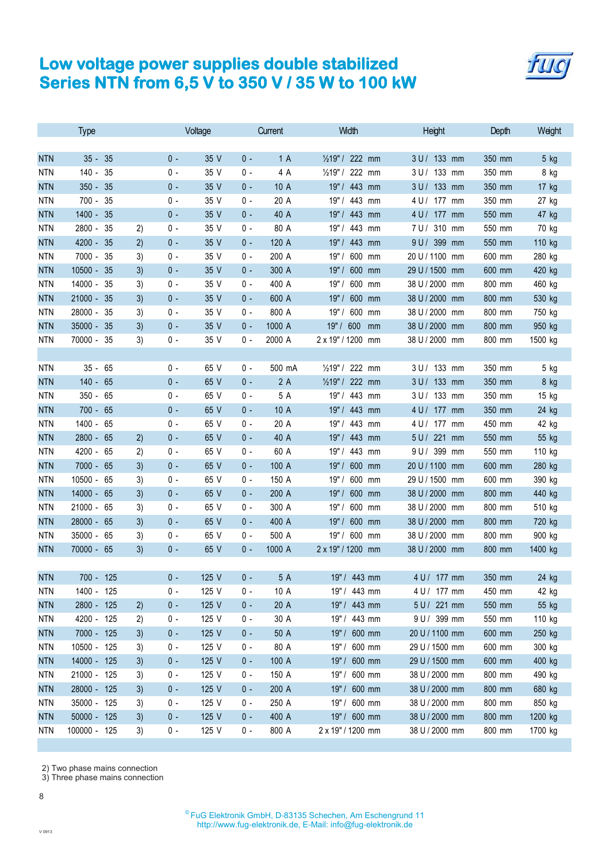

|            | <b>Type</b>     |    | Voltage |       | Current | Width  | Height                        | Depth             | Weight |         |
|------------|-----------------|----|---------|-------|---------|--------|-------------------------------|-------------------|--------|---------|
|            |                 |    |         |       |         |        |                               |                   |        |         |
| <b>NTN</b> | $35 -$<br>35    |    | $0 -$   | 35 V  | $0 -$   | 1A     | 1/ <sub>2</sub> 19" / 222 mm  | 3 U / 133 mm      | 350 mm | 5 kg    |
| <b>NTN</b> | $140 -$<br>35   |    | $0 -$   | 35 V  | 0 -     | 4 A    | 222 mm<br>$\frac{1}{2}$ 19" / | 3 U / 133 mm      | 350 mm | 8 kg    |
| <b>NTN</b> | $350 -$<br>35   |    | $0 -$   | 35 V  | $0 -$   | 10 A   | 19" / 443 mm                  | 3 U / 133 mm      | 350 mm | 17 kg   |
| <b>NTN</b> | 700 - 35        |    | $0 -$   | 35 V  | 0 -     | 20 A   | 19" / 443 mm                  | 4 U / 177 mm      | 350 mm | 27 kg   |
| <b>NTN</b> | 1400 - 35       |    | $0 -$   | 35 V  | $0 -$   | 40 A   | 19" / 443 mm                  | 4 U / 177 mm      | 550 mm | 47 kg   |
| <b>NTN</b> | 2800 -<br>35    | 2) | $0 -$   | 35 V  | 0 -     | 80 A   | 19" / 443 mm                  | 7 U / 310 mm      | 550 mm | 70 kg   |
| <b>NTN</b> | 4200 - 35       | 2) | $0 -$   | 35 V  | $0 -$   | 120 A  | 19" / 443 mm                  | 9 U / 399 mm      | 550 mm | 110 kg  |
| <b>NTN</b> | 7000 - 35       | 3) | $0 -$   | 35 V  | 0 -     | 200 A  | 19"/<br>600 mm                | 20 U / 1100 mm    | 600 mm | 280 kg  |
| <b>NTN</b> | 10500 - 35      | 3) | $0 -$   | 35 V  | $0 -$   | 300 A  | 19"/<br>600 mm                | 29 U / 1500 mm    | 600 mm | 420 kg  |
| <b>NTN</b> | 14000 -<br>35   | 3) | $0 -$   | 35 V  | 0 -     | 400 A  | 19"/<br>600 mm                | 38 U / 2000 mm    | 800 mm | 460 kg  |
| <b>NTN</b> | 21000 - 35      | 3) | $0 -$   | 35 V  | $0 -$   | 600 A  | 19" / 600 mm                  | 38 U / 2000 mm    | 800 mm | 530 kg  |
| <b>NTN</b> | 28000 - 35      | 3) | $0 -$   | 35 V  | 0 -     | 800 A  | 19" / 600 mm                  | 38 U / 2000 mm    | 800 mm | 750 kg  |
| <b>NTN</b> | 35000 - 35      | 3) | $0 -$   | 35 V  | $0 -$   | 1000 A | 19" / 600<br>mm               | 38 U / 2000 mm    | 800 mm | 950 kg  |
| <b>NTN</b> | 70000 - 35      | 3) | $0 -$   | 35 V  | $0 -$   | 2000 A | 2 x 19" / 1200 mm             | 38 U / 2000 mm    | 800 mm | 1500 kg |
|            |                 |    |         |       |         |        |                               |                   |        |         |
| <b>NTN</b> | $35 - 65$       |    | 0 -     | 65 V  | 0 -     | 500 mA | 1/219" / 222 mm               | 3 U / 133 mm      | 350 mm | 5 kg    |
| <b>NTN</b> | $140 -$<br>65   |    | $0 -$   | 65 V  | $0 -$   | 2A     | 1/219" / 222 mm               | 3 U / 133 mm      | 350 mm | 8 kg    |
| <b>NTN</b> | $350 - 65$      |    | $0 -$   | 65 V  | 0 -     | 5 A    | 19" / 443 mm                  | 3 U / 133 mm      | 350 mm | 15 kg   |
| <b>NTN</b> | $700 - 65$      |    | $0 -$   | 65 V  | $0 -$   | 10 A   | 19" / 443 mm                  | 4 U / 177 mm      | 350 mm | 24 kg   |
| <b>NTN</b> | 1400 - 65       |    | $0 -$   | 65 V  | 0 -     | 20 A   | 19" / 443 mm                  | 4 U / 177 mm      | 450 mm | 42 kg   |
| <b>NTN</b> | 2800 - 65       | 2) | $0 -$   | 65 V  | $0 -$   | 40 A   | 19" / 443 mm                  | 5 U / 221 mm      | 550 mm | 55 kg   |
| <b>NTN</b> | 4200 - 65       | 2) | $0 -$   | 65 V  | 0 -     | 60 A   | 19" / 443 mm                  | 9 U / 399 mm      | 550 mm | 110 kg  |
| <b>NTN</b> | 7000 - 65       | 3) | $0 -$   | 65 V  | $0 -$   | 100 A  | 19" / 600 mm                  | 20 U / 1100 mm    | 600 mm | 280 kg  |
| <b>NTN</b> | 10500 - 65      | 3) | 0 -     | 65 V  | 0 -     | 150 A  | 19"/<br>600 mm                | 29 U / 1500<br>mm | 600 mm | 390 kg  |
| <b>NTN</b> | 14000 - 65      | 3) | $0 -$   | 65 V  | $0 -$   | 200 A  | 19"/<br>600 mm                | 38 U / 2000 mm    | 800 mm | 440 kg  |
| <b>NTN</b> | 21000 - 65      | 3) | $0 -$   | 65 V  | 0 -     | 300 A  | 19"/<br>600 mm                | 38 U / 2000 mm    | 800 mm | 510 kg  |
| <b>NTN</b> | $28000 -$<br>65 | 3) | $0 -$   | 65 V  | $0 -$   | 400 A  | 19"/<br>600 mm                | 38 U / 2000 mm    | 800 mm | 720 kg  |
| <b>NTN</b> | 35000 - 65      | 3) | $0 -$   | 65 V  | $0 -$   | 500 A  | 19"/<br>600 mm                | 38 U / 2000<br>mm | 800 mm | 900 kg  |
| <b>NTN</b> | 70000 - 65      | 3) | $0 -$   | 65 V  | $0 -$   | 1000 A | 2 x 19" / 1200 mm             | 38 U / 2000 mm    | 800 mm | 1400 kg |
|            |                 |    |         |       |         |        |                               |                   |        |         |
| <b>NTN</b> | 700 - 125       |    | $0 -$   | 125 V | $0 -$   | 5 A    | 19" / 443 mm                  | 4 U / 177 mm      | 350 mm | 24 kg   |
| <b>NTN</b> | 1400 - 125      |    | $0 -$   | 125 V | $0 -$   | 10 A   | 19" / 443 mm                  | 4 U / 177 mm      | 450 mm | 42 kg   |
| <b>NTN</b> | 2800 - 125      | 2) | $0 -$   | 125 V | $0 -$   | 20 A   | 19" / 443 mm                  | 5 U / 221 mm      | 550 mm | 55 kg   |
| <b>NTN</b> | 4200 - 125      | 2) | $0 -$   | 125 V | 0 -     | 30 A   | 19" / 443 mm                  | 9 U / 399 mm      | 550 mm | 110 kg  |
| <b>NTN</b> | 7000 - 125      | 3) | $0 -$   | 125 V | $0 -$   | 50 A   | 19" / 600 mm                  | 20 U / 1100 mm    | 600 mm | 250 kg  |
| <b>NTN</b> | 10500 - 125     | 3) | $0 -$   | 125 V | 0 -     | 80 A   | 19" / 600 mm                  | 29 U / 1500 mm    | 600 mm | 300 kg  |
| <b>NTN</b> | 14000 - 125     | 3) | $0 -$   | 125 V | $0 -$   | 100 A  | 19" / 600 mm                  | 29 U / 1500 mm    | 600 mm | 400 kg  |
| <b>NTN</b> | 21000 - 125     | 3) | $0 -$   | 125 V | 0 -     | 150 A  | 19" / 600 mm                  | 38 U / 2000 mm    | 800 mm | 490 kg  |
| <b>NTN</b> | 28000 - 125     | 3) | $0 -$   | 125 V | $0 -$   | 200 A  | 19" / 600 mm                  | 38 U / 2000 mm    | 800 mm | 680 kg  |
| <b>NTN</b> | 35000 - 125     | 3) | $0 -$   | 125 V | 0 -     | 250 A  | 19" / 600 mm                  | 38 U / 2000 mm    | 800 mm | 850 kg  |
| <b>NTN</b> | $50000 - 125$   | 3) | $0 -$   | 125 V | $0 -$   | 400 A  | 19" / 600 mm                  | 38 U / 2000 mm    | 800 mm | 1200 kg |
| NTN        | 100000 - 125    | 3) | $0 -$   | 125 V | $0 -$   | 800 A  | 2 x 19" / 1200 mm             | 38 U / 2000 mm    | 800 mm | 1700 kg |
|            |                 |    |         |       |         |        |                               |                   |        |         |

2) Two phase mains connection

3) Three phase mains connection

8